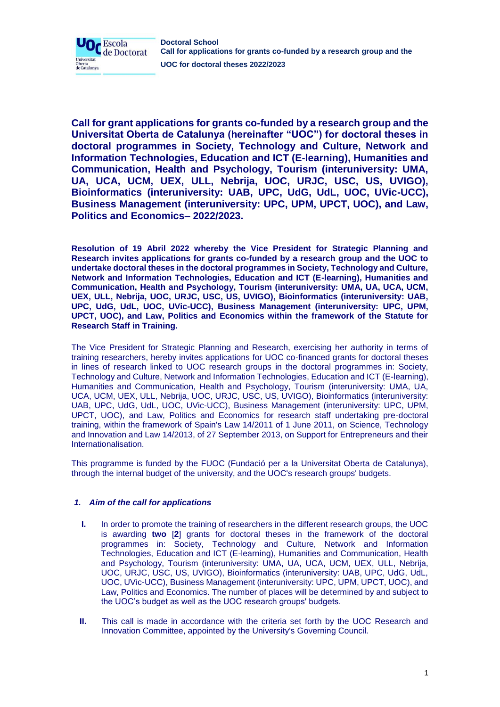

**Call for grant applications for grants co-funded by a research group and the Universitat Oberta de Catalunya (hereinafter "UOC") for doctoral theses in doctoral programmes in Society, Technology and Culture, Network and Information Technologies, Education and ICT (E-learning), Humanities and Communication, Health and Psychology, Tourism (interuniversity: UMA, UA, UCA, UCM, UEX, ULL, Nebrija, UOC, URJC, USC, US, UVIGO), Bioinformatics (interuniversity: UAB, UPC, UdG, UdL, UOC, UVic-UCC), Business Management (interuniversity: UPC, UPM, UPCT, UOC), and Law, Politics and Economics– 2022/2023.**

**Resolution of 19 Abril 2022 whereby the Vice President for Strategic Planning and Research invites applications for grants co-funded by a research group and the UOC to undertake doctoral theses in the doctoral programmes in Society, Technology and Culture, Network and Information Technologies, Education and ICT (E-learning), Humanities and Communication, Health and Psychology, Tourism (interuniversity: UMA, UA, UCA, UCM, UEX, ULL, Nebrija, UOC, URJC, USC, US, UVIGO), Bioinformatics (interuniversity: UAB, UPC, UdG, UdL, UOC, UVic-UCC), Business Management (interuniversity: UPC, UPM, UPCT, UOC), and Law, Politics and Economics within the framework of the Statute for Research Staff in Training.**

The Vice President for Strategic Planning and Research, exercising her authority in terms of training researchers, hereby invites applications for UOC co-financed grants for doctoral theses in lines of research linked to UOC research groups in the doctoral programmes in: Society, Technology and Culture, Network and Information Technologies, Education and ICT (E-learning), Humanities and Communication, Health and Psychology, Tourism (interuniversity: UMA, UA, UCA, UCM, UEX, ULL, Nebrija, UOC, URJC, USC, US, UVIGO), Bioinformatics (interuniversity: UAB, UPC, UdG, UdL, UOC, UVic-UCC), Business Management (interuniversity: UPC, UPM, UPCT, UOC), and Law, Politics and Economics for research staff undertaking pre-doctoral training, within the framework of Spain's Law 14/2011 of 1 June 2011, on Science, Technology and Innovation and Law 14/2013, of 27 September 2013, on Support for Entrepreneurs and their Internationalisation.

This programme is funded by the FUOC (Fundació per a la Universitat Oberta de Catalunya), through the internal budget of the university, and the UOC's research groups' budgets.

# *1. Aim of the call for applications*

- **I.** In order to promote the training of researchers in the different research groups, the UOC is awarding **two** [**2**] grants for doctoral theses in the framework of the doctoral programmes in: Society, Technology and Culture, Network and Information Technologies, Education and ICT (E-learning), Humanities and Communication, Health and Psychology, Tourism (interuniversity: UMA, UA, UCA, UCM, UEX, ULL, Nebrija, UOC, URJC, USC, US, UVIGO), Bioinformatics (interuniversity: UAB, UPC, UdG, UdL, UOC, UVic-UCC), Business Management (interuniversity: UPC, UPM, UPCT, UOC), and Law, Politics and Economics. The number of places will be determined by and subject to the UOC's budget as well as the UOC research groups' budgets.
- **II.** This call is made in accordance with the criteria set forth by the UOC Research and Innovation Committee, appointed by the University's Governing Council.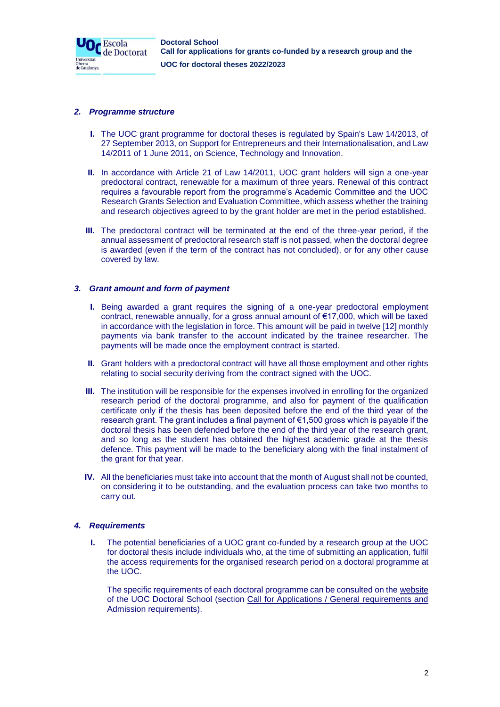

## *2. Programme structure*

- **I.** The UOC grant programme for doctoral theses is regulated by Spain's Law 14/2013, of 27 September 2013, on Support for Entrepreneurs and their Internationalisation, and Law 14/2011 of 1 June 2011, on Science, Technology and Innovation.
- **II.** In accordance with Article 21 of Law 14/2011, UOC grant holders will sign a one-year predoctoral contract, renewable for a maximum of three years. Renewal of this contract requires a favourable report from the programme's Academic Committee and the UOC Research Grants Selection and Evaluation Committee, which assess whether the training and research objectives agreed to by the grant holder are met in the period established.
- **III.** The predoctoral contract will be terminated at the end of the three-year period, if the annual assessment of predoctoral research staff is not passed, when the doctoral degree is awarded (even if the term of the contract has not concluded), or for any other cause covered by law.

## *3. Grant amount and form of payment*

- **I.** Being awarded a grant requires the signing of a one-year predoctoral employment contract, renewable annually, for a gross annual amount of €17,000, which will be taxed in accordance with the legislation in force. This amount will be paid in twelve [12] monthly payments via bank transfer to the account indicated by the trainee researcher. The payments will be made once the employment contract is started.
- **II.** Grant holders with a predoctoral contract will have all those employment and other rights relating to social security deriving from the contract signed with the UOC.
- **III.** The institution will be responsible for the expenses involved in enrolling for the organized research period of the doctoral programme, and also for payment of the qualification certificate only if the thesis has been deposited before the end of the third year of the research grant. The grant includes a final payment of €1,500 gross which is payable if the doctoral thesis has been defended before the end of the third year of the research grant, and so long as the student has obtained the highest academic grade at the thesis defence. This payment will be made to the beneficiary along with the final instalment of the grant for that year.
- **IV.** All the beneficiaries must take into account that the month of August shall not be counted, on considering it to be outstanding, and the evaluation process can take two months to carry out.

# *4. Requirements*

**I.** The potential beneficiaries of a UOC grant co-funded by a research group at the UOC for doctoral thesis include individuals who, at the time of submitting an application, fulfil the access requirements for the organised research period on a doctoral programme at the UOC.

The specific requirements of each doctoral programme can be consulted on the [website](https://www.uoc.edu/portal/en/escola-doctorat/index.html) [of the UOC Doctoral School](https://www.uoc.edu/portal/en/escola-doctorat/index.html) (section Call for Applications / General requirements and Admission requirements).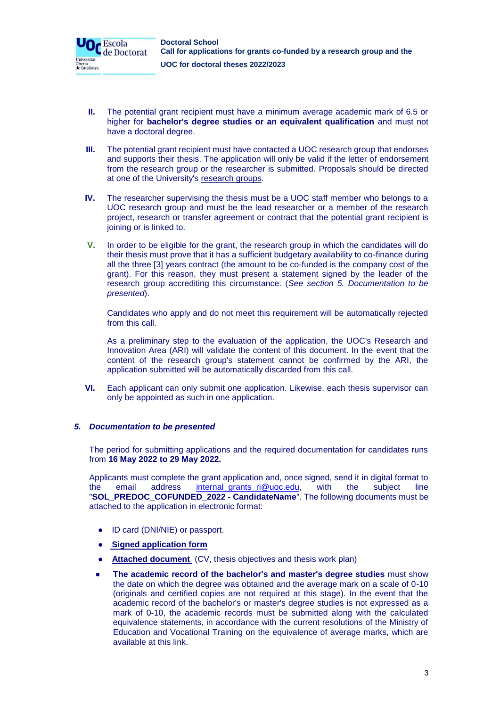

- **II.** The potential grant recipient must have a minimum average academic mark of 6.5 or higher for **bachelor's degree studies or an equivalent qualification** and must not have a doctoral degree.
- **III.** The potential grant recipient must have contacted a UOC research group that endorses and supports their thesis. The application will only be valid if the letter of endorsement from the research group or the researcher is submitted. Proposals should be directed at one of the University's [research groups.](http://transfer.rdi.uoc.edu/en/knowledge-map)
- **IV.** The researcher supervising the thesis must be a UOC staff member who belongs to a UOC research group and must be the lead researcher or a member of the research project, research or transfer agreement or contract that the potential grant recipient is joining or is linked to.
- **V.** In order to be eligible for the grant, the research group in which the candidates will do their thesis must prove that it has a sufficient budgetary availability to co-finance during all the three [3] years contract (the amount to be co-funded is the company cost of the grant). For this reason, they must present a statement signed by the leader of the research group accrediting this circumstance. (*See section 5. Documentation to be presented*).

Candidates who apply and do not meet this requirement will be automatically rejected from this call.

As a preliminary step to the evaluation of the application, the UOC's Research and Innovation Area (ARI) will validate the content of this document. In the event that the content of the research group's statement cannot be confirmed by the ARI, the application submitted will be automatically discarded from this call.

**VI.** Each applicant can only submit one application. Likewise, each thesis supervisor can only be appointed as such in one application.

# *5. Documentation to be presented*

The period for submitting applications and the required documentation for candidates runs from **16 May 2022 to 29 May 2022.**

Applicants must complete the grant application and, once signed, send it in digital format to the email address [internal\\_grants\\_ri@uoc.edu,](mailto:internal_grants_ri@uoc.edu) with the subject line "**SOL\_PREDOC\_COFUNDED\_2022 - CandidateName**". The following documents must be attached to the application in electronic format:

- ID card (DNI/NIE) or passport.
- ● **[Signed application form](https://docs.google.com/document/d/11y_48FbozrG2VJRwSfr67CztudhNFWFg/edit)**
- **[Attached document](https://docs.google.com/document/d/1Wd7gf2kIUPK5t3RaligE-ZEo9YsVwUZT/edit)** (CV, thesis objectives and thesis work plan)
- **The academic record of the bachelor's and master's degree studies** must show the date on which the degree was obtained and the average mark on a scale of 0-10 (originals and certified copies are not required at this stage). In the event that the academic record of the bachelor's or master's degree studies is not expressed as a mark of 0-10, the academic records must be submitted along with the calculated equivalence statements, in accordance with the current resolutions of the Ministry of Education and Vocational Training on the equivalence of average marks, which are available at this link.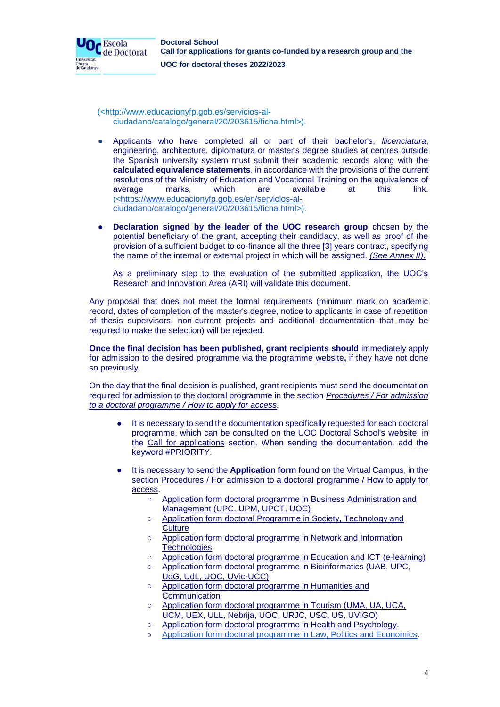

(<http://www.educacionyfp.gob.es/servicios-alciudadano/catalogo/general/20/203615/ficha.html>).

- Applicants who have completed all or part of their bachelor's, *llicenciatura*, engineering, architecture, diplomatura or master's degree studies at centres outside the Spanish university system must submit their academic records along with the **calculated equivalence statements**, in accordance with the provisions of the current resolutions of the Ministry of Education and Vocational Training on the equivalence of average marks, which are available at this link. ([<https://www.educacionyfp.gob.es/en/servicios-al](https://www.educacionyfp.gob.es/en/servicios-al-ciudadano/catalogo/general/20/203615/ficha.html)[ciudadano/catalogo/general/20/203615/ficha.html>](https://www.educacionyfp.gob.es/en/servicios-al-ciudadano/catalogo/general/20/203615/ficha.html)).
- **Declaration signed by the leader of the UOC research group** chosen by the potential beneficiary of the grant, accepting their candidacy, as well as proof of the provision of a sufficient budget to co-finance all the three [3] years contract, specifying the name of the internal or external project in which will be assigned. *(See Annex II)*.

As a preliminary step to the evaluation of the submitted application, the UOC's Research and Innovation Area (ARI) will validate this document.

Any proposal that does not meet the formal requirements (minimum mark on academic record, dates of completion of the master's degree, notice to applicants in case of repetition of thesis supervisors, non-current projects and additional documentation that may be required to make the selection) will be rejected.

**Once the final decision has been published, grant recipients should** immediately apply for admission to the desired programme via the programme [website](https://www.uoc.edu/portal/en/escola-doctorat/index.html)**,** if they have not done so previously.

On the day that the final decision is published, grant recipients must send the documentation required for admission to the doctoral programme in the section *Procedures / For admission to a doctoral programme / How to apply for access.* 

- It is necessary to send the documentation specifically requested for each doctoral programme, which can be consulted on the UOC Doctoral School's [website,](https://www.uoc.edu/portal/en/escola-doctorat/index.html) in the Call for applications section. When sending the documentation, add the keyword #PRIORITY.
- It is necessary to send the **Application form** found on the Virtual Campus, in the section Procedures / For admission to a doctoral programme / How to apply for access.
	- Application form doctoral programme in Business Administration and [Management \(UPC, UPM, UPCT, UOC\)](https://docs.google.com/forms/d/e/1FAIpQLSfCsTxXppULkQjWsJ35HRa3mJgQ1zuwQTNaTNWVpLFWeC2ZzA/viewform)
	- Application form doctoral Programme in Society, Technology and **[Culture](https://docs.google.com/forms/d/e/1FAIpQLSezovUj_1idclN_oweU3XyMfUBzzDT6VWgrVOLwIDU_FLdAAw/viewform)**
	- [Application form doctoral programme in Network and Information](https://docs.google.com/forms/d/e/1FAIpQLSc8wkeptQHlfAJjY-GE141Et-c7AVpX4acRU75YXRwDd_BxTA/viewform)  **[Technologies](https://docs.google.com/forms/d/e/1FAIpQLSc8wkeptQHlfAJjY-GE141Et-c7AVpX4acRU75YXRwDd_BxTA/viewform)**
	- [Application form doctoral programme in Education and ICT \(e-learning\)](https://docs.google.com/forms/d/e/1FAIpQLSehqCNB9mRKD4AgS5I8SJeZDCOQFrStf1s-RGOeMhpX35b2zg/viewform)
	- [Application form doctoral programme in Bioinformatics \(UAB, UPC,](https://docs.google.com/forms/d/e/1FAIpQLSep7VBUNW0sz_ei1Joqr3MT8LlIQDvO2eMbMCX5x1OH63_Shw/viewform)  [UdG, UdL, UOC, UVic-UCC\)](https://docs.google.com/forms/d/e/1FAIpQLSep7VBUNW0sz_ei1Joqr3MT8LlIQDvO2eMbMCX5x1OH63_Shw/viewform)
	- [Application form doctoral programme in Humanities and](https://docs.google.com/forms/d/e/1FAIpQLSd_0InA_KFaZiNL6p2RdBWPXSLbWxka2Wr3XBckdGkuhFyAQA/viewform)  **[Communication](https://docs.google.com/forms/d/e/1FAIpQLSd_0InA_KFaZiNL6p2RdBWPXSLbWxka2Wr3XBckdGkuhFyAQA/viewform)**
	- Application form doctoral programme in Tourism (UMA, UA, UCA, [UCM, UEX, ULL, Nebrija, UOC, URJC, USC, US, UVIGO\)](https://docs.google.com/forms/d/e/1FAIpQLScd0_dmu8UA403ONhwzo6uJU3O7G5SgiTR2e6m1BJDYLtvyJg/viewform)
	- [Application form doctoral programme in Health and Psychology.](https://docs.google.com/forms/d/e/1FAIpQLSd4K8g0naGsieLJZAb8oSqffwTQAaLgTMUbDeuSU2o9xekUEQ/viewform)
	- [Application form doctoral programme in Law, Politics and Economics.](https://docs.google.com/forms/d/1w5IZ1036LNn4F81Gh2Azv5bCeFK_ZEl1Lqwd_lDCwE4/edit)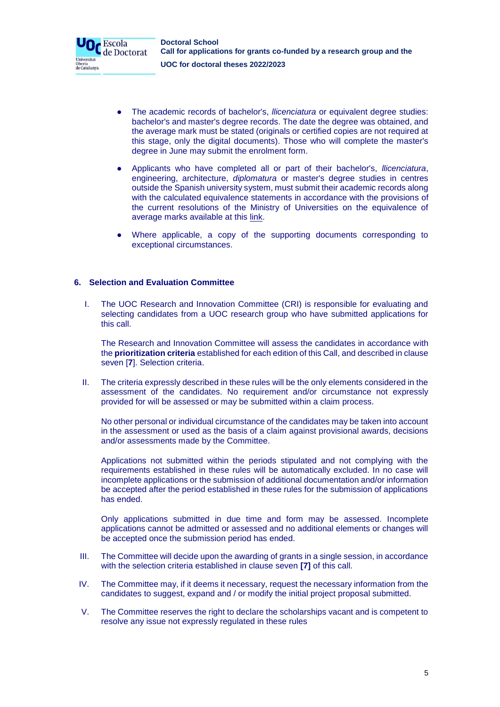

- The academic records of bachelor's, *llicenciatura* or equivalent degree studies: bachelor's and master's degree records. The date the degree was obtained, and the average mark must be stated (originals or certified copies are not required at this stage, only the digital documents). Those who will complete the master's degree in June may submit the enrolment form.
- Applicants who have completed all or part of their bachelor's, *llicenciatura*, engineering, architecture, *diplomatura* or master's degree studies in centres outside the Spanish university system, must submit their academic records along with the calculated equivalence statements in accordance with the provisions of the current resolutions of the Ministry of Universities on the equivalence of average marks available at this [link.](https://www.educacionyfp.gob.es/en/servicios-al-ciudadano/catalogo/general/20/203615/ficha.html)
- Where applicable, a copy of the supporting documents corresponding to exceptional circumstances.

# **6. Selection and Evaluation Committee**

I. The UOC Research and Innovation Committee (CRI) is responsible for evaluating and selecting candidates from a UOC research group who have submitted applications for this call.

The Research and Innovation Committee will assess the candidates in accordance with the **prioritization criteria** established for each edition of this Call, and described in clause seven [**7**]. Selection criteria.

II. The criteria expressly described in these rules will be the only elements considered in the assessment of the candidates. No requirement and/or circumstance not expressly provided for will be assessed or may be submitted within a claim process.

No other personal or individual circumstance of the candidates may be taken into account in the assessment or used as the basis of a claim against provisional awards, decisions and/or assessments made by the Committee.

Applications not submitted within the periods stipulated and not complying with the requirements established in these rules will be automatically excluded. In no case will incomplete applications or the submission of additional documentation and/or information be accepted after the period established in these rules for the submission of applications has ended.

Only applications submitted in due time and form may be assessed. Incomplete applications cannot be admitted or assessed and no additional elements or changes will be accepted once the submission period has ended.

- III. The Committee will decide upon the awarding of grants in a single session, in accordance with the selection criteria established in clause seven **[7]** of this call.
- IV. The Committee may, if it deems it necessary, request the necessary information from the candidates to suggest, expand and / or modify the initial project proposal submitted.
- V. The Committee reserves the right to declare the scholarships vacant and is competent to resolve any issue not expressly regulated in these rules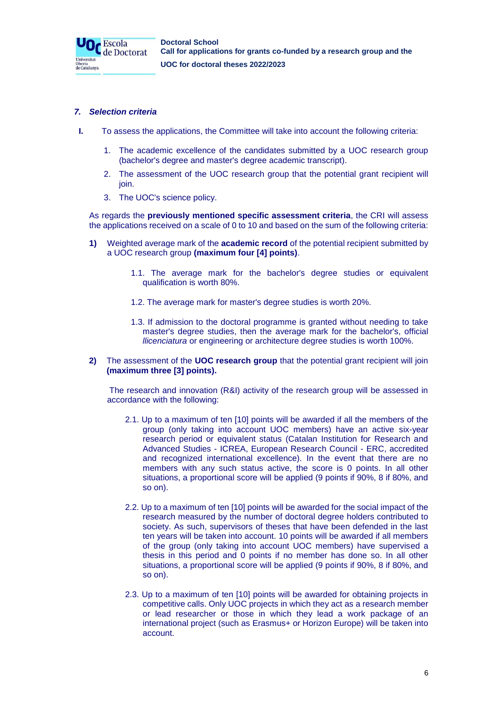

## *7. Selection criteria*

- **I.** To assess the applications, the Committee will take into account the following criteria:
	- 1. The academic excellence of the candidates submitted by a UOC research group (bachelor's degree and master's degree academic transcript).
	- 2. The assessment of the UOC research group that the potential grant recipient will join.
	- 3. The UOC's science policy.

As regards the **previously mentioned specific assessment criteria**, the CRI will assess the applications received on a scale of 0 to 10 and based on the sum of the following criteria:

- **1)** Weighted average mark of the **academic record** of the potential recipient submitted by a UOC research group **(maximum four [4] points)**.
	- 1.1. The average mark for the bachelor's degree studies or equivalent qualification is worth 80%.
	- 1.2. The average mark for master's degree studies is worth 20%.
	- 1.3. If admission to the doctoral programme is granted without needing to take master's degree studies, then the average mark for the bachelor's, official *llicenciatura* or engineering or architecture degree studies is worth 100%.
- **2)** The assessment of the **UOC research group** that the potential grant recipient will join **(maximum three [3] points).**

The research and innovation (R&I) activity of the research group will be assessed in accordance with the following:

- 2.1. Up to a maximum of ten [10] points will be awarded if all the members of the group (only taking into account UOC members) have an active six-year research period or equivalent status (Catalan Institution for Research and Advanced Studies - ICREA, European Research Council - ERC, accredited and recognized international excellence). In the event that there are no members with any such status active, the score is 0 points. In all other situations, a proportional score will be applied (9 points if 90%, 8 if 80%, and so on).
- 2.2. Up to a maximum of ten [10] points will be awarded for the social impact of the research measured by the number of doctoral degree holders contributed to society. As such, supervisors of theses that have been defended in the last ten years will be taken into account. 10 points will be awarded if all members of the group (only taking into account UOC members) have supervised a thesis in this period and 0 points if no member has done so. In all other situations, a proportional score will be applied (9 points if 90%, 8 if 80%, and so on).
- 2.3. Up to a maximum of ten [10] points will be awarded for obtaining projects in competitive calls. Only UOC projects in which they act as a research member or lead researcher or those in which they lead a work package of an international project (such as Erasmus+ or Horizon Europe) will be taken into account.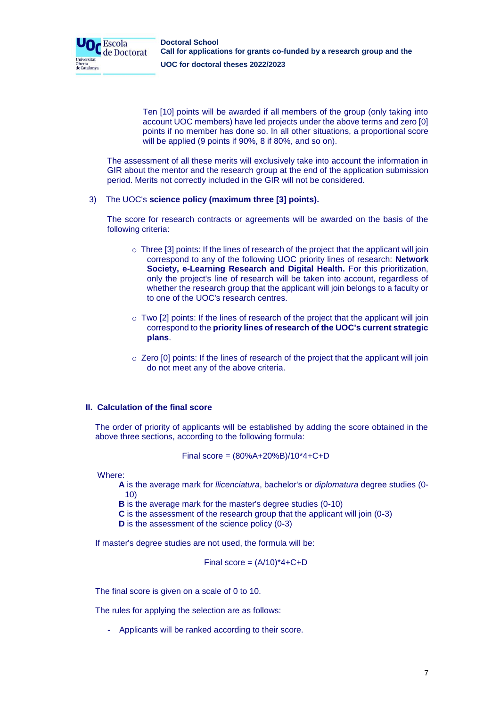

Ten [10] points will be awarded if all members of the group (only taking into account UOC members) have led projects under the above terms and zero [0] points if no member has done so. In all other situations, a proportional score will be applied (9 points if 90%, 8 if 80%, and so on).

The assessment of all these merits will exclusively take into account the information in GIR about the mentor and the research group at the end of the application submission period. Merits not correctly included in the GIR will not be considered.

## 3) The UOC's **science policy (maximum three [3] points).**

The score for research contracts or agreements will be awarded on the basis of the following criteria:

- $\circ$  Three [3] points: If the lines of research of the project that the applicant will join correspond to any of the following UOC priority lines of research: **Network Society, e-Learning Research and Digital Health.** For this prioritization, only the project's line of research will be taken into account, regardless of whether the research group that the applicant will join belongs to a faculty or to one of the UOC's research centres.
- $\circ$  Two [2] points: If the lines of research of the project that the applicant will join correspond to the **priority lines of research of the UOC's current strategic plans**.
- o Zero [0] points: If the lines of research of the project that the applicant will join do not meet any of the above criteria.

# **II. Calculation of the final score**

The order of priority of applicants will be established by adding the score obtained in the above three sections, according to the following formula:

Final score = 
$$
(80\%A+20\%B)/10*4+C+D
$$

Where:

**A** is the average mark for *llicenciatura*, bachelor's or *diplomatura* degree studies (0- 10)

**B** is the average mark for the master's degree studies (0-10)

- **C** is the assessment of the research group that the applicant will join (0-3)
- **D** is the assessment of the science policy (0-3)

If master's degree studies are not used, the formula will be:

Final score =  $(A/10)^*4+C+D$ 

The final score is given on a scale of 0 to 10.

The rules for applying the selection are as follows:

- Applicants will be ranked according to their score.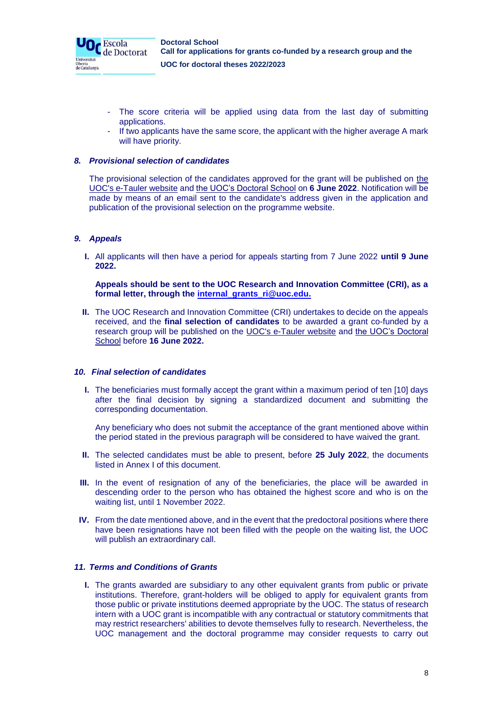

- The score criteria will be applied using data from the last day of submitting applications.
- If two applicants have the same score, the applicant with the higher average A mark will have priority.

# *8. Provisional selection of candidates*

The provisional selection of the candidates approved for the grant will be published on [the](https://seu-electronica.uoc.edu/portal/ca/seu-electronica/tramits-serveis/tauler-anuncis/index.html)  [UOC's e-Tauler website](https://seu-electronica.uoc.edu/portal/ca/seu-electronica/tramits-serveis/tauler-anuncis/index.html) an[d the UOC's Doctoral School](https://www.uoc.edu/portal/ca/escola-doctorat/index.html) on **6 June 2022**. Notification will be made by means of an email sent to the candidate's address given in the application and publication of the provisional selection on the programme website.

## *9. Appeals*

**I.** All applicants will then have a period for appeals starting from 7 June 2022 **until 9 June 2022.**

**Appeals should be sent to the UOC Research and Innovation Committee (CRI), as a formal letter, through the [internal\\_grants\\_ri@uoc.edu.](mailto:internal_grants_ri@uoc.edu)**

**II.** The UOC Research and Innovation Committee (CRI) undertakes to decide on the appeals received, and the **final selection of candidates** to be awarded a grant co-funded by a research group will be published on the [UOC's e-Tauler website](https://seu-electronica.uoc.edu/portal/ca/seu-electronica/tramits-serveis/tauler-anuncis/index.html) and [the UOC's Doctoral](https://www.uoc.edu/portal/ca/escola-doctorat/index.html)  [School](https://www.uoc.edu/portal/ca/escola-doctorat/index.html) [b](https://www.uoc.edu/portal/ca/escola-doctorat/index.html)efore **16 June 2022.**

### *10. Final selection of candidates*

**I.** The beneficiaries must formally accept the grant within a maximum period of ten [10] days after the final decision by signing a standardized document and submitting the corresponding documentation.

Any beneficiary who does not submit the acceptance of the grant mentioned above within the period stated in the previous paragraph will be considered to have waived the grant.

- **II.** The selected candidates must be able to present, before **25 July 2022**, the documents listed in Annex I of this document.
- **III.** In the event of resignation of any of the beneficiaries, the place will be awarded in descending order to the person who has obtained the highest score and who is on the waiting list, until 1 November 2022.
- **IV.** From the date mentioned above, and in the event that the predoctoral positions where there have been resignations have not been filled with the people on the waiting list, the UOC will publish an extraordinary call.

## *11. Terms and Conditions of Grants*

**I.** The grants awarded are subsidiary to any other equivalent grants from public or private institutions. Therefore, grant-holders will be obliged to apply for equivalent grants from those public or private institutions deemed appropriate by the UOC. The status of research intern with a UOC grant is incompatible with any contractual or statutory commitments that may restrict researchers' abilities to devote themselves fully to research. Nevertheless, the UOC management and the doctoral programme may consider requests to carry out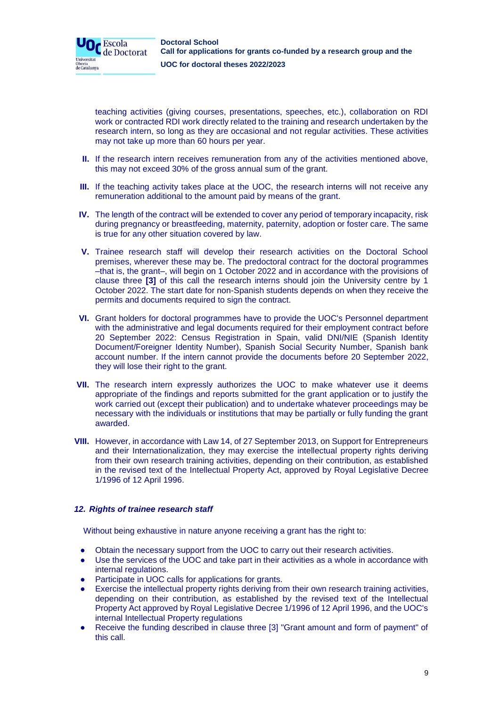

teaching activities (giving courses, presentations, speeches, etc.), collaboration on RDI work or contracted RDI work directly related to the training and research undertaken by the research intern, so long as they are occasional and not regular activities. These activities may not take up more than 60 hours per year.

- **II.** If the research intern receives remuneration from any of the activities mentioned above, this may not exceed 30% of the gross annual sum of the grant.
- **III.** If the teaching activity takes place at the UOC, the research interns will not receive any remuneration additional to the amount paid by means of the grant.
- **IV.** The length of the contract will be extended to cover any period of temporary incapacity, risk during pregnancy or breastfeeding, maternity, paternity, adoption or foster care. The same is true for any other situation covered by law.
- **V.** Trainee research staff will develop their research activities on the Doctoral School premises, wherever these may be. The predoctoral contract for the doctoral programmes –that is, the grant–, will begin on 1 October 2022 and in accordance with the provisions of clause three **[3]** of this call the research interns should join the University centre by 1 October 2022. The start date for non-Spanish students depends on when they receive the permits and documents required to sign the contract.
- **VI.** Grant holders for doctoral programmes have to provide the UOC's Personnel department with the administrative and legal documents required for their employment contract before 20 September 2022: Census Registration in Spain, valid DNI/NIE (Spanish Identity Document/Foreigner Identity Number), Spanish Social Security Number, Spanish bank account number. If the intern cannot provide the documents before 20 September 2022, they will lose their right to the grant.
- **VII.** The research intern expressly authorizes the UOC to make whatever use it deems appropriate of the findings and reports submitted for the grant application or to justify the work carried out (except their publication) and to undertake whatever proceedings may be necessary with the individuals or institutions that may be partially or fully funding the grant awarded.
- **VIII.** However, in accordance with Law 14, of 27 September 2013, on Support for Entrepreneurs and their Internationalization, they may exercise the intellectual property rights deriving from their own research training activities, depending on their contribution, as established in the revised text of the Intellectual Property Act, approved by Royal Legislative Decree 1/1996 of 12 April 1996.

# *12. Rights of trainee research staff*

Without being exhaustive in nature anyone receiving a grant has the right to:

- Obtain the necessary support from the UOC to carry out their research activities.
- Use the services of the UOC and take part in their activities as a whole in accordance with internal regulations.
- Participate in UOC calls for applications for grants.
- Exercise the intellectual property rights deriving from their own research training activities, depending on their contribution, as established by the revised text of the Intellectual Property Act approved by Royal Legislative Decree 1/1996 of 12 April 1996, and the UOC's internal Intellectual Property regulations
- Receive the funding described in clause three [3] "Grant amount and form of payment" of this call.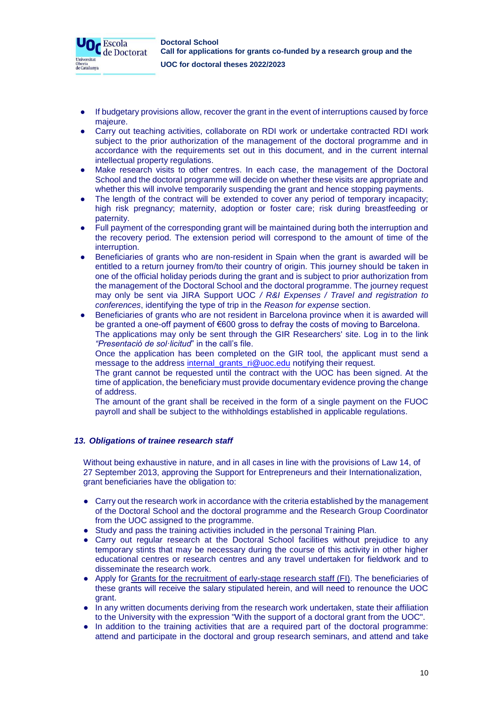

- If budgetary provisions allow, recover the grant in the event of interruptions caused by force majeure.
- Carry out teaching activities, collaborate on RDI work or undertake contracted RDI work subject to the prior authorization of the management of the doctoral programme and in accordance with the requirements set out in this document, and in the current internal intellectual property regulations.
- Make research visits to other centres. In each case, the management of the Doctoral School and the doctoral programme will decide on whether these visits are appropriate and whether this will involve temporarily suspending the grant and hence stopping payments.
- The length of the contract will be extended to cover any period of temporary incapacity; high risk pregnancy; maternity, adoption or foster care; risk during breastfeeding or paternity.
- Full payment of the corresponding grant will be maintained during both the interruption and the recovery period. The extension period will correspond to the amount of time of the interruption.
- Beneficiaries of grants who are non-resident in Spain when the grant is awarded will be entitled to a return journey from/to their country of origin. This journey should be taken in one of the official holiday periods during the grant and is subject to prior authorization from the management of the Doctoral School and the doctoral programme. The journey request may only be sent via JIRA Support UOC */ R&I Expenses / Travel and registration to conferences*, identifying the type of trip in the *Reason for expense* section.
- Beneficiaries of grants who are not resident in Barcelona province when it is awarded will be granted a one-off payment of €600 gross to defray the costs of moving to Barcelona. The applications may only be sent through the GIR Researchers' site. Log in to the link *"Presentació de sol·licitud*" in the call's file.

Once the application has been completed on the GIR tool, the applicant must send a message to the address [internal\\_grants\\_ri@uoc.edu](mailto:internal_grants_ri@uoc.edu) notifying their request.

The grant cannot be requested until the contract with the UOC has been signed. At the time of application, the beneficiary must provide documentary evidence proving the change of address.

The amount of the grant shall be received in the form of a single payment on the FUOC payroll and shall be subject to the withholdings established in applicable regulations.

# *13. Obligations of trainee research staff*

Without being exhaustive in nature, and in all cases in line with the provisions of Law 14, of 27 September 2013, approving the Support for Entrepreneurs and their Internationalization, grant beneficiaries have the obligation to:

- Carry out the research work in accordance with the criteria established by the management of the Doctoral School and the doctoral programme and the Research Group Coordinator from the UOC assigned to the programme.
- Study and pass the training activities included in the personal Training Plan.
- Carry out regular research at the Doctoral School facilities without prejudice to any temporary stints that may be necessary during the course of this activity in other higher educational centres or research centres and any travel undertaken for fieldwork and to disseminate the research work.
- Apply for Grants for the [recruitment of early-stage research staff \(FI\).](http://agaur.gencat.cat/en/beques-i-ajuts/convocatories-per-temes/Ajuts-per-a-la-formacio-i-contractacio-de-personal-investigador-novell-FI-2018?evolutiuTramit=1) The beneficiaries of these grants will receive the salary stipulated herein, and will need to renounce the UOC grant.
- In any written documents deriving from the research work undertaken, state their affiliation to the University with the expression "With the support of a doctoral grant from the UOC".
- In addition to the training activities that are a required part of the doctoral programme: attend and participate in the doctoral and group research seminars, and attend and take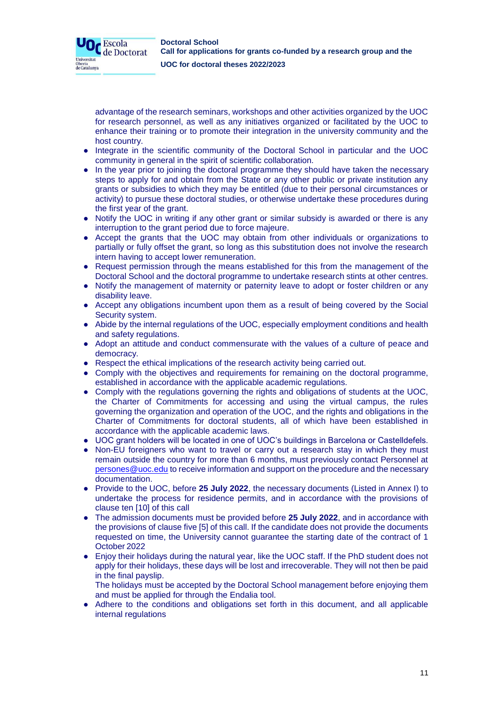

advantage of the research seminars, workshops and other activities organized by the UOC for research personnel, as well as any initiatives organized or facilitated by the UOC to enhance their training or to promote their integration in the university community and the host country.

- Integrate in the scientific community of the Doctoral School in particular and the UOC community in general in the spirit of scientific collaboration.
- In the year prior to joining the doctoral programme they should have taken the necessary steps to apply for and obtain from the State or any other public or private institution any grants or subsidies to which they may be entitled (due to their personal circumstances or activity) to pursue these doctoral studies, or otherwise undertake these procedures during the first year of the grant.
- Notify the UOC in writing if any other grant or similar subsidy is awarded or there is any interruption to the grant period due to force majeure.
- Accept the grants that the UOC may obtain from other individuals or organizations to partially or fully offset the grant, so long as this substitution does not involve the research intern having to accept lower remuneration.
- Request permission through the means established for this from the management of the Doctoral School and the doctoral programme to undertake research stints at other centres.
- Notify the management of maternity or paternity leave to adopt or foster children or any disability leave.
- Accept any obligations incumbent upon them as a result of being covered by the Social Security system.
- Abide by the internal regulations of the UOC, especially employment conditions and health and safety regulations.
- Adopt an attitude and conduct commensurate with the values of a culture of peace and democracy.
- Respect the ethical implications of the research activity being carried out.
- Comply with the objectives and requirements for remaining on the doctoral programme, established in accordance with the applicable academic regulations.
- Comply with the regulations governing the rights and obligations of students at the UOC, the Charter of Commitments for accessing and using the virtual campus, the rules governing the organization and operation of the UOC, and the rights and obligations in the Charter of Commitments for doctoral students, all of which have been established in accordance with the applicable academic laws.
- UOC grant holders will be located in one of UOC's buildings in Barcelona or Castelldefels.
- Non-EU foreigners who want to travel or carry out a research stay in which they must remain outside the country for more than 6 months, must previously contact Personnel at [persones@uoc.edu](mailto:persones@uoc.edu) to receive information and support on the procedure and the necessary documentation.
- Provide to the UOC, before **25 July 2022**, the necessary documents (Listed in Annex I) to undertake the process for residence permits, and in accordance with the provisions of clause ten [10] of this call
- The admission documents must be provided before **25 July 2022**, and in accordance with the provisions of clause five [5] of this call. If the candidate does not provide the documents requested on time, the University cannot guarantee the starting date of the contract of 1 October 2022
- Enjoy their holidays during the natural year, like the UOC staff. If the PhD student does not apply for their holidays, these days will be lost and irrecoverable. They will not then be paid in the final payslip.
- The holidays must be accepted by the Doctoral School management before enjoying them and must be applied for through the Endalia tool.
- Adhere to the conditions and obligations set forth in this document, and all applicable internal regulations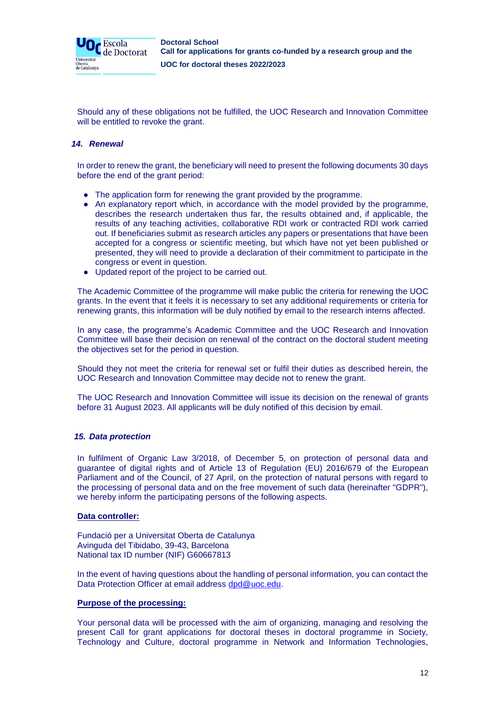

Should any of these obligations not be fulfilled, the UOC Research and Innovation Committee will be entitled to revoke the grant.

## *14. Renewal*

In order to renew the grant, the beneficiary will need to present the following documents 30 days before the end of the grant period:

- The application form for renewing the grant provided by the programme.
- An explanatory report which, in accordance with the model provided by the programme, describes the research undertaken thus far, the results obtained and, if applicable, the results of any teaching activities, collaborative RDI work or contracted RDI work carried out. If beneficiaries submit as research articles any papers or presentations that have been accepted for a congress or scientific meeting, but which have not yet been published or presented, they will need to provide a declaration of their commitment to participate in the congress or event in question.
- Updated report of the project to be carried out.

The Academic Committee of the programme will make public the criteria for renewing the UOC grants. In the event that it feels it is necessary to set any additional requirements or criteria for renewing grants, this information will be duly notified by email to the research interns affected.

In any case, the programme's Academic Committee and the UOC Research and Innovation Committee will base their decision on renewal of the contract on the doctoral student meeting the objectives set for the period in question.

Should they not meet the criteria for renewal set or fulfil their duties as described herein, the UOC Research and Innovation Committee may decide not to renew the grant.

The UOC Research and Innovation Committee will issue its decision on the renewal of grants before 31 August 2023. All applicants will be duly notified of this decision by email.

# *15. Data protection*

In fulfilment of Organic Law 3/2018, of December 5, on protection of personal data and guarantee of digital rights and of Article 13 of Regulation (EU) 2016/679 of the European Parliament and of the Council, of 27 April, on the protection of natural persons with regard to the processing of personal data and on the free movement of such data (hereinafter "GDPR"), we hereby inform the participating persons of the following aspects.

### **Data controller:**

Fundació per a Universitat Oberta de Catalunya Avinguda del Tibidabo, 39-43, Barcelona National tax ID number (NIF) G60667813

In the event of having questions about the handling of personal information, you can contact the Data Protection Officer at email address [dpd@uoc.edu.](mailto:dpd@uoc.edu)

### **Purpose of the processing:**

Your personal data will be processed with the aim of organizing, managing and resolving the present Call for grant applications for doctoral theses in doctoral programme in Society, Technology and Culture, doctoral programme in Network and Information Technologies,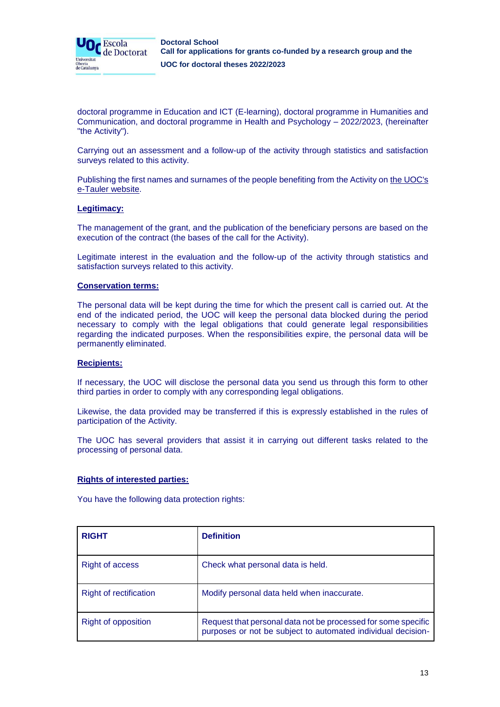

doctoral programme in Education and ICT (E-learning), doctoral programme in Humanities and Communication, and doctoral programme in Health and Psychology – 2022/2023, (hereinafter "the Activity").

Carrying out an assessment and a follow-up of the activity through statistics and satisfaction surveys related to this activity.

Publishing the first names and surnames of the people benefiting from the Activity on [the UOC's](https://seu-electronica.uoc.edu/portal/ca/seu-electronica/tramits-serveis/tauler-anuncis/index.html)  [e-Tauler website.](https://seu-electronica.uoc.edu/portal/ca/seu-electronica/tramits-serveis/tauler-anuncis/index.html)

#### **Legitimacy:**

The management of the grant, and the publication of the beneficiary persons are based on the execution of the contract (the bases of the call for the Activity).

Legitimate interest in the evaluation and the follow-up of the activity through statistics and satisfaction surveys related to this activity.

#### **Conservation terms:**

The personal data will be kept during the time for which the present call is carried out. At the end of the indicated period, the UOC will keep the personal data blocked during the period necessary to comply with the legal obligations that could generate legal responsibilities regarding the indicated purposes. When the responsibilities expire, the personal data will be permanently eliminated.

#### **Recipients:**

If necessary, the UOC will disclose the personal data you send us through this form to other third parties in order to comply with any corresponding legal obligations.

Likewise, the data provided may be transferred if this is expressly established in the rules of participation of the Activity.

The UOC has several providers that assist it in carrying out different tasks related to the processing of personal data.

#### **Rights of interested parties:**

You have the following data protection rights:

| <b>RIGHT</b>               | <b>Definition</b>                                                                                                             |
|----------------------------|-------------------------------------------------------------------------------------------------------------------------------|
| <b>Right of access</b>     | Check what personal data is held.                                                                                             |
| Right of rectification     | Modify personal data held when inaccurate.                                                                                    |
| <b>Right of opposition</b> | Request that personal data not be processed for some specific<br>purposes or not be subject to automated individual decision- |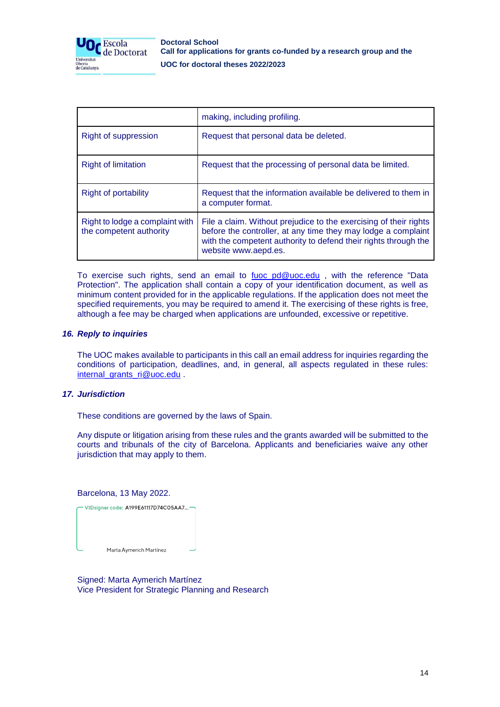

|                                                            | making, including profiling.                                                                                                                                                                                                  |
|------------------------------------------------------------|-------------------------------------------------------------------------------------------------------------------------------------------------------------------------------------------------------------------------------|
| Right of suppression                                       | Request that personal data be deleted.                                                                                                                                                                                        |
| <b>Right of limitation</b>                                 | Request that the processing of personal data be limited.                                                                                                                                                                      |
| <b>Right of portability</b>                                | Request that the information available be delivered to them in<br>a computer format.                                                                                                                                          |
| Right to lodge a complaint with<br>the competent authority | File a claim. Without prejudice to the exercising of their rights<br>before the controller, at any time they may lodge a complaint<br>with the competent authority to defend their rights through the<br>website www.aepd.es. |

To exercise such rights, send an email to [fuoc\\_pd@uoc.edu](mailto:fuoc_pd@uoc.edu) , with the reference "Data Protection". The application shall contain a copy of your identification document, as well as minimum content provided for in the applicable regulations. If the application does not meet the specified requirements, you may be required to amend it. The exercising of these rights is free, although a fee may be charged when applications are unfounded, excessive or repetitive.

#### *16. Reply to inquiries*

The UOC makes available to participants in this call an email address for inquiries regarding the conditions of participation, deadlines, and, in general, all aspects regulated in these rules: [internal\\_grants\\_ri@uoc.edu](mailto:internal_grants_ri@uoc.edu) .

#### *17. Jurisdiction*

These conditions are governed by the laws of Spain.

Any dispute or litigation arising from these rules and the grants awarded will be submitted to the courts and tribunals of the city of Barcelona. Applicants and beneficiaries waive any other jurisdiction that may apply to them.

#### Barcelona, 13 May 2022.



Signed: Marta Aymerich Martínez Vice President for Strategic Planning and Research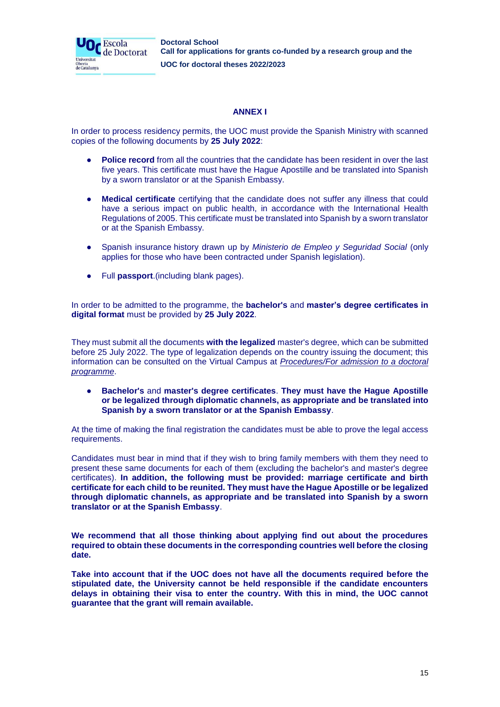

# **ANNEX I**

In order to process residency permits, the UOC must provide the Spanish Ministry with scanned copies of the following documents by **25 July 2022**:

- **Police record** from all the countries that the candidate has been resident in over the last five years. This certificate must have the Hague Apostille and be translated into Spanish by a sworn translator or at the Spanish Embassy.
- **Medical certificate** certifying that the candidate does not suffer any illness that could have a serious impact on public health, in accordance with the International Health Regulations of 2005. This certificate must be translated into Spanish by a sworn translator or at the Spanish Embassy.
- Spanish insurance history drawn up by *Ministerio de Empleo y Seguridad Social* (only applies for those who have been contracted under Spanish legislation).
- Full **passport**.(including blank pages).

In order to be admitted to the programme, the **bachelor's** and **master's degree certificates in digital format** must be provided by **25 July 2022**.

They must submit all the documents **with the legalized** master's degree, which can be submitted before 25 July 2022. The type of legalization depends on the country issuing the document; this information can be consulted on the Virtual Campus at *Procedures/For admission to a doctoral programme*.

● **Bachelor's** and **master's degree certificates**. **They must have the Hague Apostille or be legalized through diplomatic channels, as appropriate and be translated into Spanish by a sworn translator or at the Spanish Embassy**.

At the time of making the final registration the candidates must be able to prove the legal access requirements.

Candidates must bear in mind that if they wish to bring family members with them they need to present these same documents for each of them (excluding the bachelor's and master's degree certificates). **In addition, the following must be provided: marriage certificate and birth certificate for each child to be reunited. They must have the Hague Apostille or be legalized through diplomatic channels, as appropriate and be translated into Spanish by a sworn translator or at the Spanish Embassy**.

**We recommend that all those thinking about applying find out about the procedures required to obtain these documents in the corresponding countries well before the closing date.**

**Take into account that if the UOC does not have all the documents required before the stipulated date, the University cannot be held responsible if the candidate encounters delays in obtaining their visa to enter the country. With this in mind, the UOC cannot guarantee that the grant will remain available.**